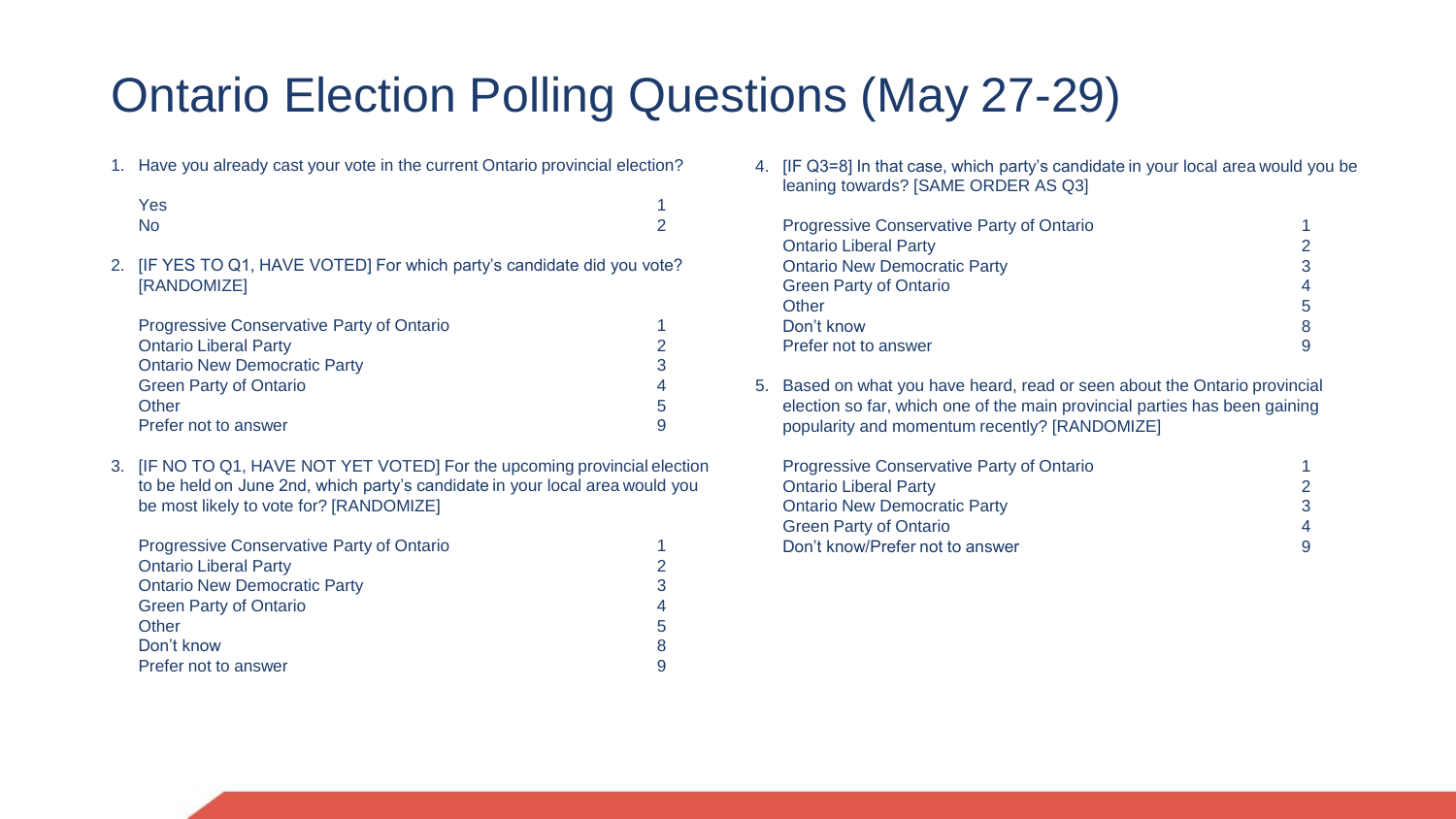## Ontario Election Polling Questions (May 27-29)

1. Have you already cast your vote in the current Ontario provincial election?

| Yes | 1        |
|-----|----------|
| No  | $\Omega$ |

2. [IF YES TO Q1, HAVE VOTED] For which party's candidate did you vote? [RANDOMIZE]

| <b>Progressive Conservative Party of Ontario</b> |    |
|--------------------------------------------------|----|
| <b>Ontario Liberal Party</b>                     |    |
| <b>Ontario New Democratic Party</b>              |    |
| <b>Green Party of Ontario</b>                    |    |
| Other                                            | .h |
| Prefer not to answer                             |    |

3. [IF NO TO Q1, HAVE NOT YET VOTED] For the upcoming provincial election to be held on June 2nd, which party's candidate in your local area would you be most likely to vote for? [RANDOMIZE]

| <b>Progressive Conservative Party of Ontario</b> |   |
|--------------------------------------------------|---|
| <b>Ontario Liberal Party</b>                     |   |
| <b>Ontario New Democratic Party</b>              |   |
| <b>Green Party of Ontario</b>                    |   |
| Other                                            | b |
| Don't know                                       |   |
| Prefer not to answer                             |   |

4. [IF Q3=8] In that case, which party's candidate in your local area would you be leaning towards? [SAME ORDER AS Q3]

| <b>Progressive Conservative Party of Ontario</b> |                |
|--------------------------------------------------|----------------|
| <b>Ontario Liberal Party</b>                     | 2              |
| <b>Ontario New Democratic Party</b>              | 3              |
| <b>Green Party of Ontario</b>                    | $\overline{4}$ |
| Other                                            | 5.             |
| Don't know                                       | 8              |
| Prefer not to answer                             |                |

5. Based on what you have heard, read or seen about the Ontario provincial election so far, which one of the main provincial parties has been gaining popularity and momentum recently? [RANDOMIZE]

| <b>Progressive Conservative Party of Ontario</b> |   |
|--------------------------------------------------|---|
| <b>Ontario Liberal Party</b>                     |   |
| <b>Ontario New Democratic Party</b>              | 3 |
| <b>Green Party of Ontario</b>                    | Δ |
| Don't know/Prefer not to answer                  | 9 |